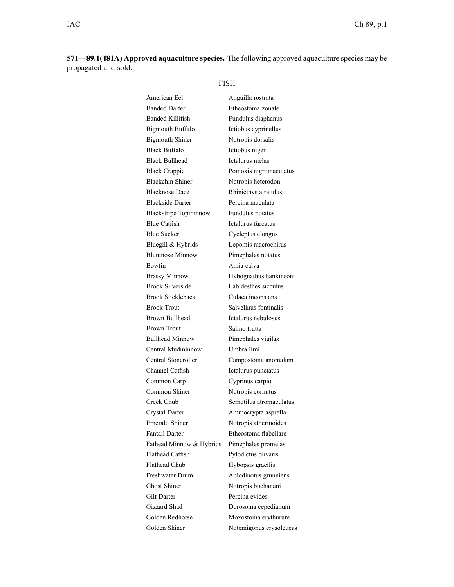**571—89.1(481A) Approved aquaculture species.** The following approved aquaculture species may be propagated and sold:

FISH

| American Eel                 | Anguilla rostrata       |
|------------------------------|-------------------------|
| <b>Banded Darter</b>         | Etheostoma zonale       |
| <b>Banded Killifish</b>      | Fundulus diaphanus      |
| <b>Bigmouth Buffalo</b>      | Ictiobus cyprinellus    |
| <b>Bigmouth Shiner</b>       | Notropis dorsalis       |
| <b>Black Buffalo</b>         | Ictiobus niger          |
| <b>Black Bullhead</b>        | Ictalurus melas         |
| <b>Black Crappie</b>         | Pomoxis nigromaculatus  |
| <b>Blackchin Shiner</b>      | Notropis heterodon      |
| <b>Blacknose Dace</b>        | Rhinicthys atratulus    |
| <b>Blackside Darter</b>      | Percina maculata        |
| <b>Blackstripe Topminnow</b> | Fundulus notatus        |
| <b>Blue Catfish</b>          | Ictalurus furcatus      |
| <b>Blue Sucker</b>           | Cycleptus elongus       |
| Bluegill & Hybrids           | Lepomis macrochirus     |
| <b>Bluntnose Minnow</b>      | Pimephales notatus      |
| <b>Bowfin</b>                | Amia calva              |
| <b>Brassy Minnow</b>         | Hybognathus hankinsoni  |
| <b>Brook Silverside</b>      | Labidesthes sicculus    |
| <b>Brook Stickleback</b>     | Culaea inconstans       |
| <b>Brook Trout</b>           | Salvelinus fontinalis   |
| <b>Brown Bullhead</b>        | Ictalurus nebulosus     |
| <b>Brown Trout</b>           | Salmo trutta            |
| <b>Bullhead Minnow</b>       | Pimephales vigilax      |
| Central Mudminnow            | Umbra limi              |
| Central Stoneroller          | Campostoma anomalum     |
| Channel Catfish              | Ictalurus punctatus     |
| Common Carp                  | Cyprinus carpio         |
| Common Shiner                | Notropis cornutus       |
| Creek Chub                   | Semotilus atromaculatus |
| <b>Crystal Darter</b>        | Ammocrypta asprella     |
| <b>Emerald Shiner</b>        | Notropis atherinoides   |
| Fantail Darter               | Etheostoma flabellare   |
| Fathead Minnow & Hybrids     | Pimephales promelas     |
| <b>Flathead Catfish</b>      | Pylodictus olivaris     |
| <b>Flathead Chub</b>         | Hybopsis gracilis       |
| <b>Freshwater Drum</b>       | Aplodinotus grunniens   |
| <b>Ghost Shiner</b>          | Notropis buchanani      |
| <b>Gilt Darter</b>           | Percina evides          |
| Gizzard Shad                 | Dorosoma cepedianum     |
| Golden Redhorse              | Moxostoma erythurum     |
| Golden Shiner                | Notemigonus crysoleucas |
|                              |                         |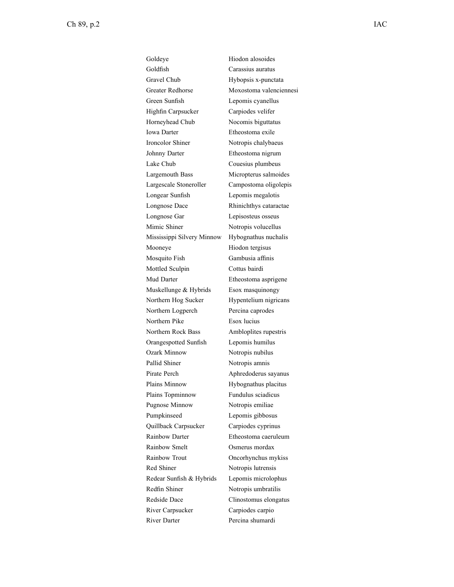Goldeye Hiodon alosoides Goldfish Carassius auratus Gravel Chub Hybopsis x-punctata Greater Redhorse Moxostoma valenciennesi Green Sunfish Lepomis cyanellus Highfin Carpsucker Carpiodes velifer Horneyhead Chub Nocomis biguttatus Iowa Darter Etheostoma exile Ironcolor Shiner Notropis chalybaeus Johnny Darter Etheostoma nigrum Lake Chub Couesius plumbeus Largemouth Bass Micropterus salmoides Largescale Stoneroller Campostoma oligolepis Longear Sunfish Lepomis megalotis Longnose Dace Rhinichthys cataractae Longnose Gar Lepisosteus osseus Mimic Shiner Notropis volucellus Mississippi Silvery Minnow Hybognathus nuchalis Mooneye Hiodon tergisus Mosquito Fish Gambusia affinis Mottled Sculpin Cottus bairdi Mud Darter Etheostoma asprigene Muskellunge & Hybrids Esox masquinongy Northern Hog Sucker Hypentelium nigricans Northern Logperch Percina caprodes Northern Pike Esox lucius Northern Rock Bass Ambloplites rupestris Orangespotted Sunfish Lepomis humilus Ozark Minnow Notropis nubilus Pallid Shiner Notropis amnis Pirate Perch Aphredoderus sayanus Plains Minnow Hybognathus placitus Plains Topminnow Fundulus sciadicus Pugnose Minnow Notropis emiliae Pumpkinseed Lepomis gibbosus Quillback Carpsucker Carpiodes cyprinus Rainbow Darter Etheostoma caeruleum Rainbow Smelt **Osmerus mordax** Rainbow Trout Oncorhynchus mykiss Red Shiner Notropis lutrensis Redear Sunfish & Hybrids Lepomis microlophus Redfin Shiner Notropis umbratilis Redside Dace Clinostomus elongatus River Carpsucker Carpiodes carpio River Darter Percina shumardi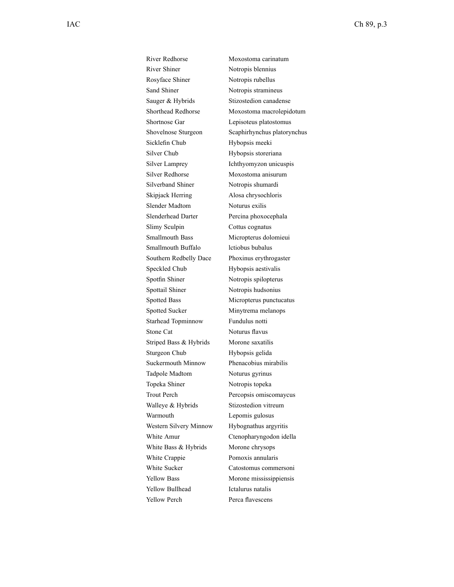River Redhorse Moxostoma carinatum River Shiner Notropis blennius Rosyface Shiner Notropis rubellus Sand Shiner Notropis stramineus Sauger & Hybrids Stizostedion canadense Shortnose Gar Lepisoteus platostomus Sicklefin Chub Hybopsis meeki Silver Chub Hybopsis storeriana Silver Lamprey Ichthyomyzon unicuspis Silver Redhorse Moxostoma anisurum Silverband Shiner Notropis shumardi Skipjack Herring Alosa chrysochloris Slender Madtom Noturus exilis Slenderhead Darter Percina phoxocephala Slimy Sculpin Cottus cognatus Smallmouth Bass Micropterus dolomieui Smallmouth Buffalo lctiobus bubalus Southern Redbelly Dace Phoxinus erythrogaster Speckled Chub Hybopsis aestivalis Spotfin Shiner Notropis spilopterus Spottail Shiner Notropis hudsonius Spotted Bass Micropterus punctucatus Spotted Sucker Minytrema melanops Starhead Topminnow Fundulus notti Stone Cat Noturus flavus Striped Bass & Hybrids Morone saxatilis Sturgeon Chub Hybopsis gelida Suckermouth Minnow Phenacobius mirabilis Tadpole Madtom Noturus gyrinus Topeka Shiner Notropis topeka Walleye & Hybrids Stizostedion vitreum Warmouth Lepomis gulosus Western Silvery Minnow Hybognathus argyritis White Bass  $&$  Hybrids Morone chrysops White Crappie Pomoxis annularis White Sucker Catostomus commersoni Yellow Bass Morone mississippiensis Yellow Bullhead Ictalurus natalis Yellow Perch Perca flavescens

Shorthead Redhorse Moxostoma macrolepidotum Shovelnose Sturgeon Scaphirhynchus platorynchus Trout Perch Percopsis omiscomaycus White Amur Ctenopharyngodon idella